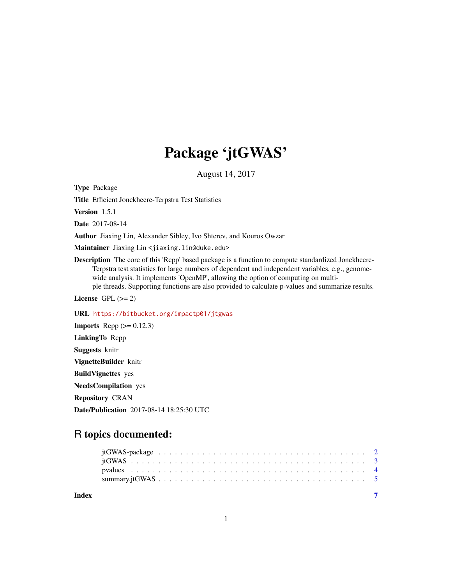## Package 'jtGWAS'

August 14, 2017

<span id="page-0-0"></span>Type Package

Title Efficient Jonckheere-Terpstra Test Statistics

Version 1.5.1

Date 2017-08-14

Author Jiaxing Lin, Alexander Sibley, Ivo Shterev, and Kouros Owzar

Maintainer Jiaxing Lin<jiaxing.lin@duke.edu>

Description The core of this 'Rcpp' based package is a function to compute standardized Jonckheere-Terpstra test statistics for large numbers of dependent and independent variables, e.g., genomewide analysis. It implements 'OpenMP', allowing the option of computing on multiple threads. Supporting functions are also provided to calculate p-values and summarize results.

License GPL  $(>= 2)$ 

URL <https://bitbucket.org/impactp01/jtgwas>

**Imports** Rcpp  $(>= 0.12.3)$ LinkingTo Rcpp Suggests knitr VignetteBuilder knitr BuildVignettes yes NeedsCompilation yes Repository CRAN Date/Publication 2017-08-14 18:25:30 UTC

### R topics documented:

| Index |  |  |  |  |  |  |  |  |  |  |  |  |  |  |  |  |  |
|-------|--|--|--|--|--|--|--|--|--|--|--|--|--|--|--|--|--|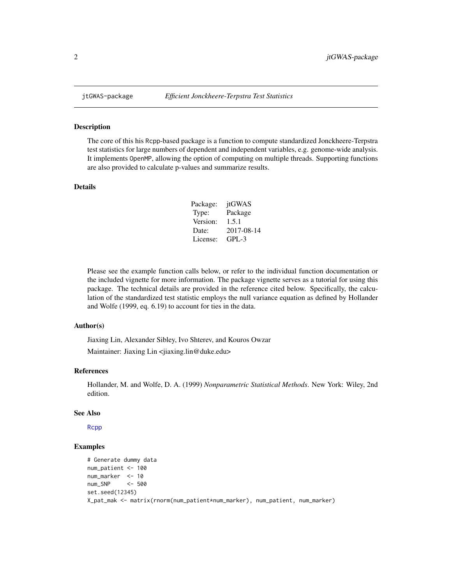<span id="page-1-0"></span>

#### Description

The core of this his Rcpp-based package is a function to compute standardized Jonckheere-Terpstra test statistics for large numbers of dependent and independent variables, e.g. genome-wide analysis. It implements OpenMP, allowing the option of computing on multiple threads. Supporting functions are also provided to calculate p-values and summarize results.

#### Details

| Package: | jtGWAS     |
|----------|------------|
| Type:    | Package    |
| Version: | 1.5.1      |
| Date:    | 2017-08-14 |
| License: | $GPI - 3$  |

Please see the example function calls below, or refer to the individual function documentation or the included vignette for more information. The package vignette serves as a tutorial for using this package. The technical details are provided in the reference cited below. Specifically, the calculation of the standardized test statistic employs the null variance equation as defined by Hollander and Wolfe (1999, eq. 6.19) to account for ties in the data.

#### Author(s)

Jiaxing Lin, Alexander Sibley, Ivo Shterev, and Kouros Owzar

Maintainer: Jiaxing Lin <jiaxing.lin@duke.edu>

#### References

Hollander, M. and Wolfe, D. A. (1999) *Nonparametric Statistical Methods*. New York: Wiley, 2nd edition.

#### See Also

[Rcpp](#page-0-0)

#### Examples

```
# Generate dummy data
num_patient <- 100
num_marker <- 10
num_SNP <- 500
set.seed(12345)
X_pat_mak <- matrix(rnorm(num_patient*num_marker), num_patient, num_marker)
```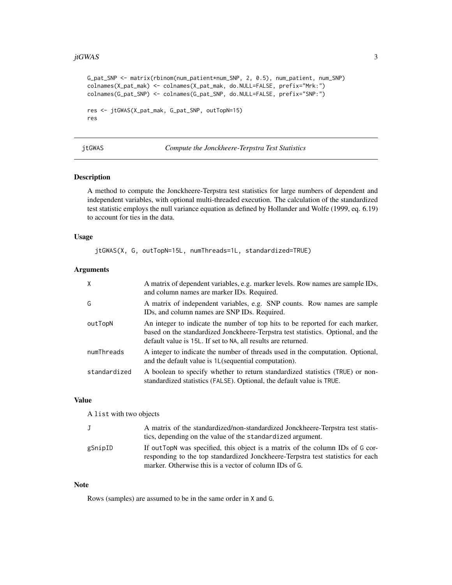#### <span id="page-2-0"></span>jtGWAS  $\qquad \qquad \qquad$  3

```
G_pat_SNP <- matrix(rbinom(num_patient*num_SNP, 2, 0.5), num_patient, num_SNP)
colnames(X_pat_mak) <- colnames(X_pat_mak, do.NULL=FALSE, prefix="Mrk:")
colnames(G_pat_SNP) <- colnames(G_pat_SNP, do.NULL=FALSE, prefix="SNP:")
res <- jtGWAS(X_pat_mak, G_pat_SNP, outTopN=15)
res
```
<span id="page-2-1"></span>

jtGWAS *Compute the Jonckheere-Terpstra Test Statistics*

#### Description

A method to compute the Jonckheere-Terpstra test statistics for large numbers of dependent and independent variables, with optional multi-threaded execution. The calculation of the standardized test statistic employs the null variance equation as defined by Hollander and Wolfe (1999, eq. 6.19) to account for ties in the data.

#### Usage

jtGWAS(X, G, outTopN=15L, numThreads=1L, standardized=TRUE)

#### Arguments

| $\mathsf{X}$ | A matrix of dependent variables, e.g. marker levels. Row names are sample IDs,<br>and column names are marker IDs. Required.                                                                                                       |
|--------------|------------------------------------------------------------------------------------------------------------------------------------------------------------------------------------------------------------------------------------|
| G            | A matrix of independent variables, e.g. SNP counts. Row names are sample<br>IDs, and column names are SNP IDs. Required.                                                                                                           |
| outTopN      | An integer to indicate the number of top hits to be reported for each marker,<br>based on the standardized Jonckheere-Terpstra test statistics. Optional, and the<br>default value is 15L. If set to NA, all results are returned. |
| numThreads   | A integer to indicate the number of threads used in the computation. Optional,<br>and the default value is 1L (sequential computation).                                                                                            |
| standardized | A boolean to specify whether to return standardized statistics (TRUE) or non-<br>standardized statistics (FALSE). Optional, the default value is TRUE.                                                                             |

#### Value

A list with two objects

| J       | A matrix of the standardized/non-standardized Jonckheere-Terpstra test statis-  |
|---------|---------------------------------------------------------------------------------|
|         | tics, depending on the value of the standardized argument.                      |
| gSnipID | If outTopN was specified, this object is a matrix of the column IDs of G cor-   |
|         | responding to the top standardized Jonckheere-Terpstra test statistics for each |
|         | marker. Otherwise this is a vector of column IDs of G.                          |

#### Note

Rows (samples) are assumed to be in the same order in X and G.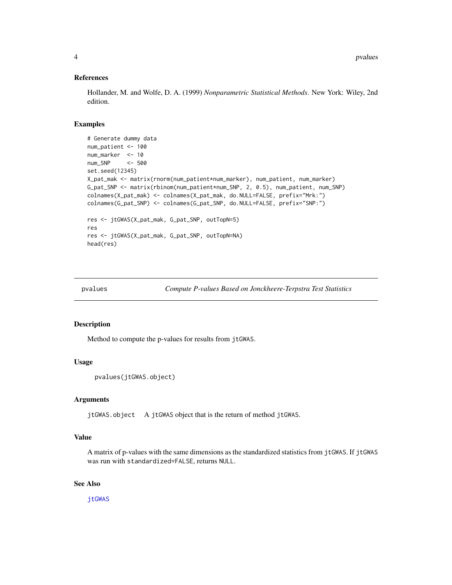#### References

Hollander, M. and Wolfe, D. A. (1999) *Nonparametric Statistical Methods*. New York: Wiley, 2nd edition.

#### Examples

```
# Generate dummy data
num_patient <- 100
num_marker <- 10
num_SNP <- 500
set.seed(12345)
X_pat_mak <- matrix(rnorm(num_patient*num_marker), num_patient, num_marker)
G_pat_SNP <- matrix(rbinom(num_patient*num_SNP, 2, 0.5), num_patient, num_SNP)
colnames(X_pat_mak) <- colnames(X_pat_mak, do.NULL=FALSE, prefix="Mrk:")
colnames(G_pat_SNP) <- colnames(G_pat_SNP, do.NULL=FALSE, prefix="SNP:")
res <- jtGWAS(X_pat_mak, G_pat_SNP, outTopN=5)
res
res <- jtGWAS(X_pat_mak, G_pat_SNP, outTopN=NA)
head(res)
```

```
pvalues Compute P-values Based on Jonckheere-Terpstra Test Statistics
```
#### Description

Method to compute the p-values for results from jtGWAS.

#### Usage

```
pvalues(jtGWAS.object)
```
#### Arguments

jtGWAS.object A jtGWAS object that is the return of method jtGWAS.

#### Value

A matrix of p-values with the same dimensions as the standardized statistics from jtGWAS. If jtGWAS was run with standardized=FALSE, returns NULL.

#### See Also

[jtGWAS](#page-2-1)

<span id="page-3-0"></span>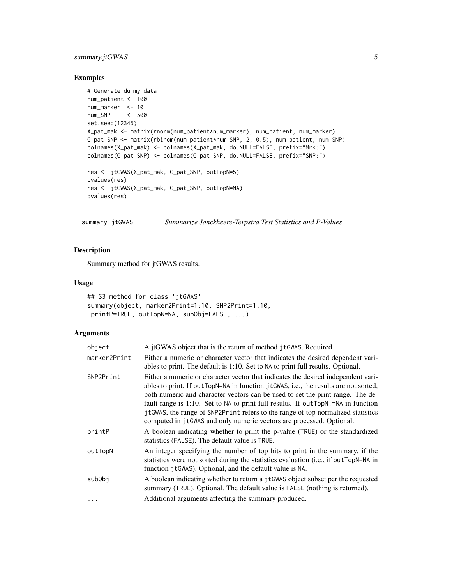#### <span id="page-4-0"></span>summary.jtGWAS 5

#### Examples

```
# Generate dummy data
num_patient <- 100
num_marker <- 10
num_SNP <- 500
set.seed(12345)
X_pat_mak <- matrix(rnorm(num_patient*num_marker), num_patient, num_marker)
G_pat_SNP <- matrix(rbinom(num_patient*num_SNP, 2, 0.5), num_patient, num_SNP)
colnames(X_pat_mak) <- colnames(X_pat_mak, do.NULL=FALSE, prefix="Mrk:")
colnames(G_pat_SNP) <- colnames(G_pat_SNP, do.NULL=FALSE, prefix="SNP:")
res <- jtGWAS(X_pat_mak, G_pat_SNP, outTopN=5)
pvalues(res)
res <- jtGWAS(X_pat_mak, G_pat_SNP, outTopN=NA)
pvalues(res)
```
summary.jtGWAS *Summarize Jonckheere-Terpstra Test Statistics and P-Values*

#### Description

Summary method for jtGWAS results.

#### Usage

```
## S3 method for class 'jtGWAS'
summary(object, marker2Print=1:10, SNP2Print=1:10,
printP=TRUE, outTopN=NA, subObj=FALSE, ...)
```
#### Arguments

| object       | A jtGWAS object that is the return of method jtGWAS. Required.                                                                                                                                                                                                                                                                                                                                                                                                                                             |
|--------------|------------------------------------------------------------------------------------------------------------------------------------------------------------------------------------------------------------------------------------------------------------------------------------------------------------------------------------------------------------------------------------------------------------------------------------------------------------------------------------------------------------|
| marker2Print | Either a numeric or character vector that indicates the desired dependent vari-<br>ables to print. The default is 1:10. Set to NA to print full results. Optional.                                                                                                                                                                                                                                                                                                                                         |
| SNP2Print    | Either a numeric or character vector that indicates the desired independent vari-<br>ables to print. If out TopN=NA in function jtGWAS, i.e., the results are not sorted,<br>both numeric and character vectors can be used to set the print range. The de-<br>fault range is 1:10. Set to NA to print full results. If outTopN!=NA in function<br>jtGWAS, the range of SNP2Print refers to the range of top normalized statistics<br>computed in jtGWAS and only numeric vectors are processed. Optional. |
| printP       | A boolean indicating whether to print the p-value (TRUE) or the standardized<br>statistics (FALSE). The default value is TRUE.                                                                                                                                                                                                                                                                                                                                                                             |
| outTopN      | An integer specifying the number of top hits to print in the summary, if the<br>statistics were not sorted during the statistics evaluation (i.e., if out TopN=NA in<br>function jtGWAS). Optional, and the default value is NA.                                                                                                                                                                                                                                                                           |
| subObj       | A boolean indicating whether to return a jtGWAS object subset per the requested<br>summary (TRUE). Optional. The default value is FALSE (nothing is returned).                                                                                                                                                                                                                                                                                                                                             |
| $\ddots$ .   | Additional arguments affecting the summary produced.                                                                                                                                                                                                                                                                                                                                                                                                                                                       |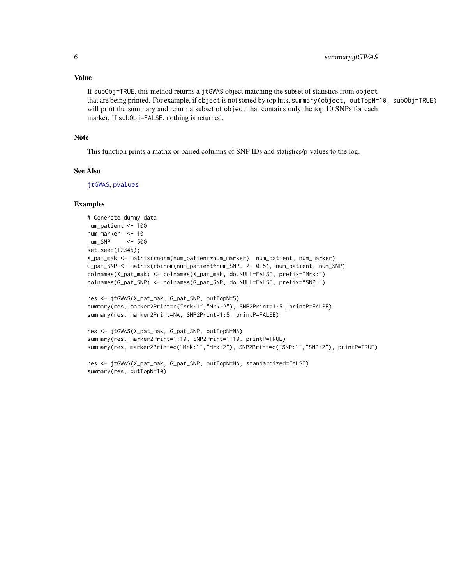#### <span id="page-5-0"></span>Value

If subObj=TRUE, this method returns a jtGWAS object matching the subset of statistics from object that are being printed. For example, if object is not sorted by top hits, summary(object, outTopN=10, subObj=TRUE) will print the summary and return a subset of object that contains only the top 10 SNPs for each marker. If subObj=FALSE, nothing is returned.

#### Note

This function prints a matrix or paired columns of SNP IDs and statistics/p-values to the log.

#### See Also

[jtGWAS](#page-2-1), [pvalues](#page-3-1)

#### Examples

```
# Generate dummy data
num_patient <- 100
num_marker <- 10
num_SNP <- 500
set.seed(12345);
X_pat_mak <- matrix(rnorm(num_patient*num_marker), num_patient, num_marker)
G_pat_SNP <- matrix(rbinom(num_patient*num_SNP, 2, 0.5), num_patient, num_SNP)
colnames(X_pat_mak) <- colnames(X_pat_mak, do.NULL=FALSE, prefix="Mrk:")
colnames(G_pat_SNP) <- colnames(G_pat_SNP, do.NULL=FALSE, prefix="SNP:")
res <- jtGWAS(X_pat_mak, G_pat_SNP, outTopN=5)
```

```
summary(res, marker2Print=c("Mrk:1","Mrk:2"), SNP2Print=1:5, printP=FALSE)
summary(res, marker2Print=NA, SNP2Print=1:5, printP=FALSE)
```

```
res <- jtGWAS(X_pat_mak, G_pat_SNP, outTopN=NA)
summary(res, marker2Print=1:10, SNP2Print=1:10, printP=TRUE)
summary(res, marker2Print=c("Mrk:1","Mrk:2"), SNP2Print=c("SNP:1","SNP:2"), printP=TRUE)
```

```
res <- jtGWAS(X_pat_mak, G_pat_SNP, outTopN=NA, standardized=FALSE)
summary(res, outTopN=10)
```